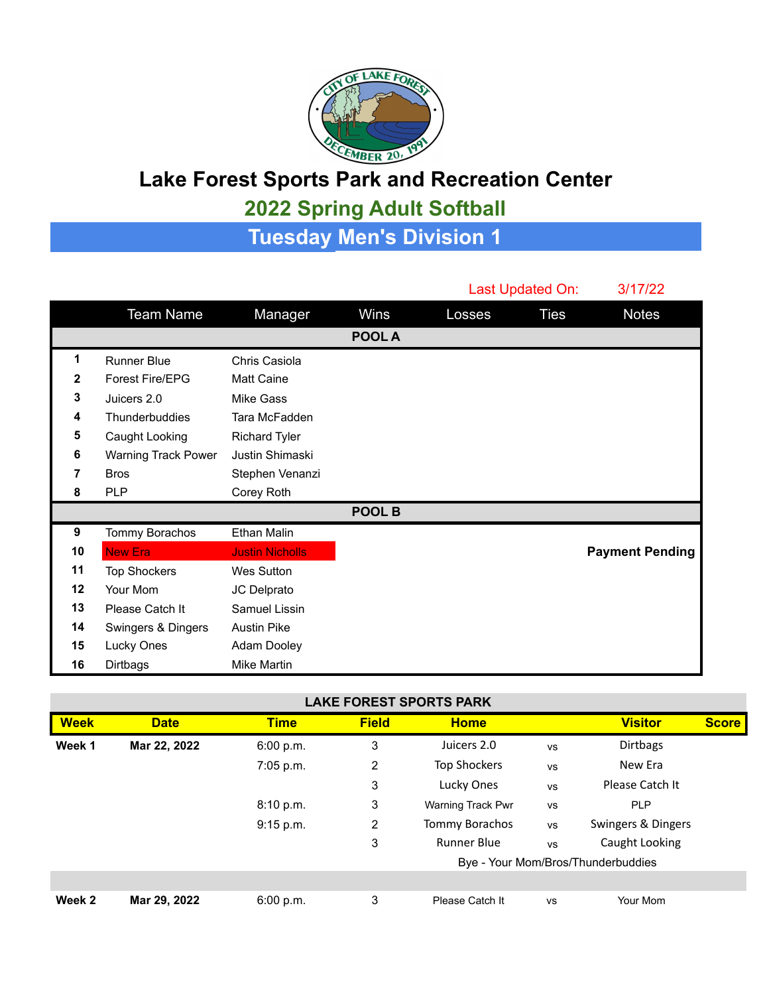

## **Lake Forest Sports Park and Recreation Center**

## **2022 Spring Adult Softball**

**Tuesday Men's Division 1**

|    |                            |                        |        |        | Last Updated On: | 3/17/22                |
|----|----------------------------|------------------------|--------|--------|------------------|------------------------|
|    | <b>Team Name</b>           | Manager                | Wins   | Losses | <b>Ties</b>      | <b>Notes</b>           |
|    |                            |                        | POOL A |        |                  |                        |
| 1  | <b>Runner Blue</b>         | Chris Casiola          |        |        |                  |                        |
| 2  | Forest Fire/EPG            | <b>Matt Caine</b>      |        |        |                  |                        |
| 3  | Juicers 2.0                | Mike Gass              |        |        |                  |                        |
| 4  | Thunderbuddies             | Tara McFadden          |        |        |                  |                        |
| 5  | Caught Looking             | <b>Richard Tyler</b>   |        |        |                  |                        |
| 6  | <b>Warning Track Power</b> | Justin Shimaski        |        |        |                  |                        |
| 7  | <b>Bros</b>                | Stephen Venanzi        |        |        |                  |                        |
| 8  | <b>PLP</b>                 | Corey Roth             |        |        |                  |                        |
|    |                            |                        | POOL B |        |                  |                        |
| 9  | Tommy Borachos             | Ethan Malin            |        |        |                  |                        |
| 10 | <b>New Era</b>             | <b>Justin Nicholls</b> |        |        |                  | <b>Payment Pending</b> |
| 11 | <b>Top Shockers</b>        | <b>Wes Sutton</b>      |        |        |                  |                        |
| 12 | Your Mom                   | JC Delprato            |        |        |                  |                        |
| 13 | Please Catch It            | Samuel Lissin          |        |        |                  |                        |
| 14 | Swingers & Dingers         | <b>Austin Pike</b>     |        |        |                  |                        |
| 15 | Lucky Ones                 | Adam Dooley            |        |        |                  |                        |
| 16 | Dirtbags                   | Mike Martin            |        |        |                  |                        |

| <b>LAKE FOREST SPORTS PARK</b> |  |
|--------------------------------|--|
|--------------------------------|--|

| <b>Week</b> | <b>Date</b>  | <b>Time</b> | <b>Field</b> | <b>Home</b>                        |           | <b>Visitor</b>     | <b>Score</b> |
|-------------|--------------|-------------|--------------|------------------------------------|-----------|--------------------|--------------|
| Week 1      | Mar 22, 2022 | 6:00 p.m.   | 3            | Juicers 2.0                        | <b>VS</b> | <b>Dirtbags</b>    |              |
|             |              | 7:05 p.m.   | 2            | <b>Top Shockers</b>                | vs        | New Era            |              |
|             |              |             | 3            | Lucky Ones                         | <b>VS</b> | Please Catch It    |              |
|             |              | 8:10 p.m.   | 3            | <b>Warning Track Pwr</b>           | <b>VS</b> | <b>PLP</b>         |              |
|             |              | 9:15 p.m.   | 2            | <b>Tommy Borachos</b>              | <b>VS</b> | Swingers & Dingers |              |
|             |              |             | 3            | <b>Runner Blue</b>                 | <b>VS</b> | Caught Looking     |              |
|             |              |             |              | Bye - Your Mom/Bros/Thunderbuddies |           |                    |              |
|             |              |             |              |                                    |           |                    |              |
| Week 2      | Mar 29, 2022 | 6:00 p.m.   | 3            | Please Catch It                    | <b>VS</b> | Your Mom           |              |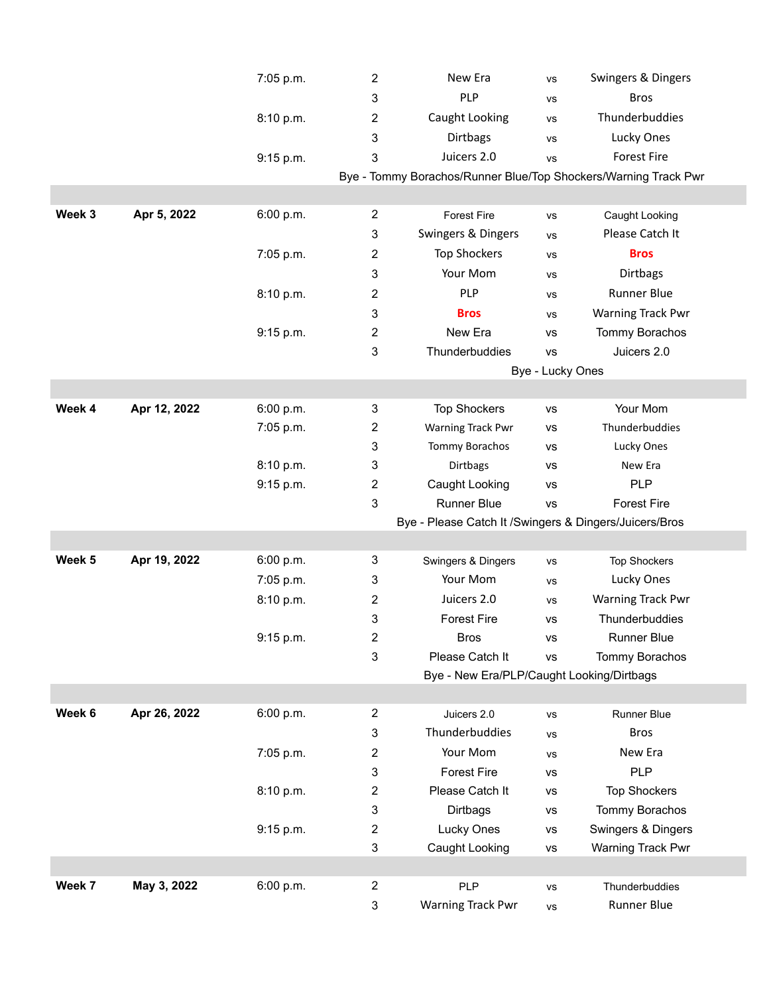|        |              | 7:05 p.m. | 2                         | New Era                                                 | VS               | Swingers & Dingers                                              |  |  |
|--------|--------------|-----------|---------------------------|---------------------------------------------------------|------------------|-----------------------------------------------------------------|--|--|
|        |              |           | 3                         | PLP                                                     | VS               | <b>Bros</b>                                                     |  |  |
|        |              | 8:10 p.m. | 2                         | Caught Looking                                          | VS               | Thunderbuddies                                                  |  |  |
|        |              |           | 3                         | Dirtbags                                                | <b>VS</b>        | Lucky Ones                                                      |  |  |
|        |              | 9:15 p.m. | $\mathsf 3$               | Juicers 2.0                                             | VS               | <b>Forest Fire</b>                                              |  |  |
|        |              |           |                           |                                                         |                  | Bye - Tommy Borachos/Runner Blue/Top Shockers/Warning Track Pwr |  |  |
|        |              |           |                           |                                                         |                  |                                                                 |  |  |
| Week 3 | Apr 5, 2022  | 6:00 p.m. | $\overline{c}$            | <b>Forest Fire</b>                                      | VS               | Caught Looking                                                  |  |  |
|        |              |           | $\sqrt{3}$                | Swingers & Dingers                                      | VS               | Please Catch It                                                 |  |  |
|        |              | 7:05 p.m. | $\overline{c}$            | <b>Top Shockers</b>                                     | VS               | <b>Bros</b>                                                     |  |  |
|        |              |           | 3                         | Your Mom                                                | VS               | <b>Dirtbags</b>                                                 |  |  |
|        |              | 8:10 p.m. | $\overline{c}$            | PLP                                                     | VS               | <b>Runner Blue</b>                                              |  |  |
|        |              |           | 3                         | <b>Bros</b>                                             | VS               | Warning Track Pwr                                               |  |  |
|        |              | 9:15 p.m. | 2                         | New Era                                                 | <b>VS</b>        | Tommy Borachos                                                  |  |  |
|        |              |           | 3                         | Thunderbuddies                                          | <b>VS</b>        | Juicers 2.0                                                     |  |  |
|        |              |           |                           |                                                         | Bye - Lucky Ones |                                                                 |  |  |
|        |              |           |                           |                                                         |                  |                                                                 |  |  |
| Week 4 | Apr 12, 2022 | 6:00 p.m. | 3                         | <b>Top Shockers</b>                                     | <b>VS</b>        | Your Mom                                                        |  |  |
|        |              | 7:05 p.m. | 2                         | <b>Warning Track Pwr</b>                                | VS               | Thunderbuddies                                                  |  |  |
|        |              |           | 3                         | Tommy Borachos                                          | <b>VS</b>        | Lucky Ones                                                      |  |  |
|        |              | 8:10 p.m. | 3                         | Dirtbags                                                | <b>VS</b>        | New Era                                                         |  |  |
|        |              | 9:15 p.m. | $\overline{c}$            | Caught Looking                                          | <b>VS</b>        | <b>PLP</b>                                                      |  |  |
|        |              |           | 3                         | <b>Runner Blue</b>                                      | <b>VS</b>        | <b>Forest Fire</b>                                              |  |  |
|        |              |           |                           | Bye - Please Catch It / Swingers & Dingers/Juicers/Bros |                  |                                                                 |  |  |
|        |              |           |                           |                                                         |                  |                                                                 |  |  |
| Week 5 | Apr 19, 2022 | 6:00 p.m. | 3                         | Swingers & Dingers                                      | <b>VS</b>        | <b>Top Shockers</b>                                             |  |  |
|        |              | 7:05 p.m. | $\ensuremath{\mathsf{3}}$ | Your Mom                                                | VS               | Lucky Ones                                                      |  |  |
|        |              | 8:10 p.m. | $\overline{c}$            | Juicers 2.0                                             | VS               | <b>Warning Track Pwr</b>                                        |  |  |
|        |              |           | 3                         | <b>Forest Fire</b>                                      | <b>VS</b>        | Thunderbuddies                                                  |  |  |
|        |              | 9:15 p.m. | $\boldsymbol{2}$          | <b>Bros</b>                                             | ٧S               | Runner Blue                                                     |  |  |
|        |              |           | 3                         | Please Catch It                                         | <b>VS</b>        | Tommy Borachos                                                  |  |  |
|        |              |           |                           | Bye - New Era/PLP/Caught Looking/Dirtbags               |                  |                                                                 |  |  |
|        |              |           |                           |                                                         |                  |                                                                 |  |  |
| Week 6 | Apr 26, 2022 | 6:00 p.m. | $\overline{c}$            | Juicers 2.0                                             | VS               | Runner Blue                                                     |  |  |
|        |              |           | 3                         | Thunderbuddies                                          | VS               | <b>Bros</b>                                                     |  |  |
|        |              | 7:05 p.m. | $\overline{c}$            | Your Mom                                                | VS               | New Era                                                         |  |  |
|        |              |           | $\sqrt{3}$                | <b>Forest Fire</b>                                      | <b>VS</b>        | PLP                                                             |  |  |
|        |              | 8:10 p.m. | $\overline{c}$            | Please Catch It                                         | ٧S               | <b>Top Shockers</b>                                             |  |  |
|        |              |           | 3                         | Dirtbags                                                | VS               | Tommy Borachos                                                  |  |  |
|        |              | 9:15 p.m. | $\overline{c}$            | Lucky Ones                                              | VS               | Swingers & Dingers                                              |  |  |
|        |              |           | $\sqrt{3}$                | Caught Looking                                          | vs               | Warning Track Pwr                                               |  |  |
|        |              |           |                           |                                                         |                  |                                                                 |  |  |
| Week 7 | May 3, 2022  | 6:00 p.m. | $\overline{c}$            | <b>PLP</b>                                              | VS               | Thunderbuddies                                                  |  |  |
|        |              |           | $\ensuremath{\mathsf{3}}$ | Warning Track Pwr                                       | vs               | Runner Blue                                                     |  |  |